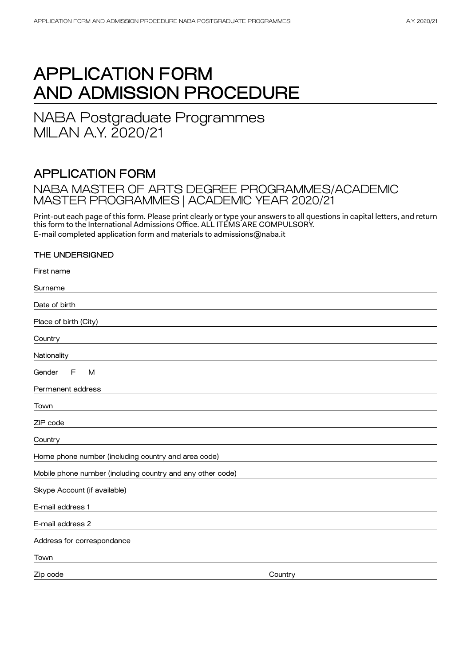# APPLICATION FORM AND ADMISSION PROCEDURE

NABA Postgraduate Programmes MILAN A.Y. 2020/21

# APPLICATION FORM

# NABA MASTER OF ARTS DEGREE PROGRAMMES/ACADEMIC<br>WASTER RESSORANCE LOCAREMIC VEAR 2000/2/4 MASTER PROGRAMMES | ACADEMIC YEAR 2020/21

Print-out each page of this form. Please print clearly or type your answers to all questions in capital letters, and return this form to the International Admissions Office. ALL ITEMS ARE COMPULSORY. E-mail completed application form and materials to admissions@naba.it

### THE UNDERSIGNED

First name

| rii st name                                                |         |
|------------------------------------------------------------|---------|
| Surname                                                    |         |
| Date of birth                                              |         |
| Place of birth (City)                                      |         |
| Country                                                    |         |
| Nationality                                                |         |
| Gender<br>F<br>M                                           |         |
| Permanent address                                          |         |
| Town                                                       |         |
| ZIP code                                                   |         |
| Country                                                    |         |
| Home phone number (including country and area code)        |         |
| Mobile phone number (including country and any other code) |         |
| Skype Account (if available)                               |         |
| E-mail address 1                                           |         |
| E-mail address 2                                           |         |
| Address for correspondance                                 |         |
| Town                                                       |         |
| Zip code                                                   | Country |
|                                                            |         |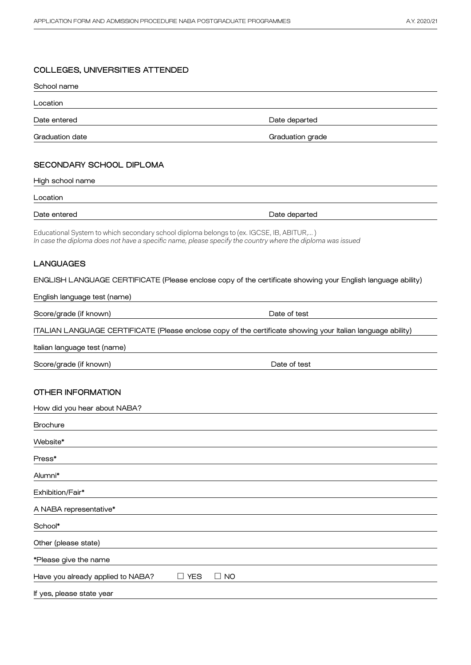| COLLLULO, UNIVEROITILO AT TENDED                                                                                                                                                                       |                  |
|--------------------------------------------------------------------------------------------------------------------------------------------------------------------------------------------------------|------------------|
| School name                                                                                                                                                                                            |                  |
| Location                                                                                                                                                                                               |                  |
| Date entered                                                                                                                                                                                           | Date departed    |
| <b>Graduation date</b>                                                                                                                                                                                 | Graduation grade |
|                                                                                                                                                                                                        |                  |
| SECONDARY SCHOOL DIPLOMA                                                                                                                                                                               |                  |
| High school name                                                                                                                                                                                       |                  |
| Location                                                                                                                                                                                               |                  |
| Date entered                                                                                                                                                                                           | Date departed    |
| Educational System to which secondary school diploma belongs to (ex. IGCSE, IB, ABITUR,)<br>In case the diploma does not have a specific name, please specify the country where the diploma was issued |                  |
| <b>LANGUAGES</b>                                                                                                                                                                                       |                  |
| ENGLISH LANGUAGE CERTIFICATE (Please enclose copy of the certificate showing your English language ability)                                                                                            |                  |
| English language test (name)                                                                                                                                                                           |                  |
| Score/grade (if known)                                                                                                                                                                                 | Date of test     |
| ITALIAN LANGUAGE CERTIFICATE (Please enclose copy of the certificate showing your Italian language ability)                                                                                            |                  |
| Italian language test (name)                                                                                                                                                                           |                  |
| Score/grade (if known)                                                                                                                                                                                 | Date of test     |
|                                                                                                                                                                                                        |                  |
| <b>OTHER INFORMATION</b>                                                                                                                                                                               |                  |
| How did you hear about NABA?                                                                                                                                                                           |                  |
| <b>Brochure</b>                                                                                                                                                                                        |                  |
| Website*                                                                                                                                                                                               |                  |
| Press*                                                                                                                                                                                                 |                  |
| Alumni*                                                                                                                                                                                                |                  |
| Exhibition/Fair*                                                                                                                                                                                       |                  |
| A NABA representative*                                                                                                                                                                                 |                  |
| School*                                                                                                                                                                                                |                  |
| Other (please state)                                                                                                                                                                                   |                  |
| *Please give the name                                                                                                                                                                                  |                  |
| $\Box$ NO<br>Have you already applied to NABA?<br>$\Box$ YES                                                                                                                                           |                  |
| If yes, please state year                                                                                                                                                                              |                  |
|                                                                                                                                                                                                        |                  |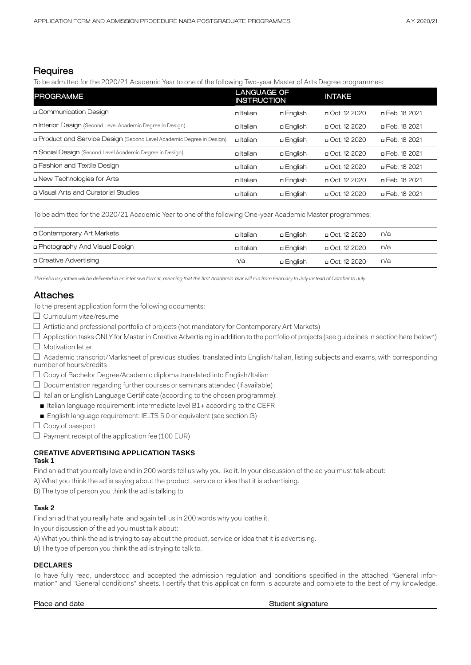### **Requires**

To be admitted for the 2020/21 Academic Year to one of the following Two-year Master of Arts Degree programmes:

| <b>PROGRAMME</b>                                                      | <b>LANGUAGE OF</b><br><b>INSTRUCTION</b> |                  | <b>INTAKE</b>  |                |
|-----------------------------------------------------------------------|------------------------------------------|------------------|----------------|----------------|
| n Communication Design                                                | <b>p</b> Italian                         | <b>a English</b> | □ Oct. 12 2020 | □ Feb. 18 2021 |
| n Interior Design (Second Level Academic Degree in Design)            | n Italian                                | <b>a English</b> | □ Oct. 12 2020 | p Feb. 18 2021 |
| n Product and Service Design (Second Level Academic Degree in Design) | n Italian                                | <b>a English</b> | □ Oct. 12 2020 | □ Feb. 18 2021 |
| □ Social Design (Second Level Academic Degree in Design)              | <b>n</b> Italian                         | <b>a English</b> | □ Oct. 12 2020 | □ Feb. 18 2021 |
| n Fashion and Textile Design                                          | <b>p</b> Italian                         | <b>a English</b> | □ Oct. 12 2020 | □ Feb. 18 2021 |
| n New Technologies for Arts                                           | <b>p</b> Italian                         | <b>a English</b> | □ Oct. 12 2020 | □ Feb. 18 2021 |
| n Visual Arts and Curatorial Studies                                  | <b>o</b> Italian                         | <b>a English</b> | □ Oct. 12 2020 | □ Feb. 18 2021 |

To be admitted for the 2020/21 Academic Year to one of the following One-year Academic Master programmes:

| □ Contemporary Art Markets      | <b>o</b> Italian | a English        | D Oct. 12 2020 | n/a |
|---------------------------------|------------------|------------------|----------------|-----|
| n Photography And Visual Design | <b>o</b> Italian | a English        | 020 Dct. 12 ב  | n/a |
| n Creative Advertising          | n/a              | <b>a English</b> | D Oct. 12 2020 | n/a |

*The February intake will be delivered in an intensive format, meaning that the first Academic Year will run from February to July instead of October to July.*

### Attaches

To the present application form the following documents:

- $\Box$  Curriculum vitae/resume
- $\Box$  Artistic and professional portfolio of projects (not mandatory for Contemporary Art Markets)
- $\square$  Application tasks ONLY for Master in Creative Advertising in addition to the portfolio of projects (see guidelines in section here below\*)
- □ Motivation letter

□ Academic transcript/Marksheet of previous studies, translated into English/Italian, listing subjects and exams, with corresponding number of hours/credits

- □ Copy of Bachelor Degree/Academic diploma translated into English/Italian
- $\Box$  Documentation regarding further courses or seminars attended (if available)
- $\square$  Italian or English Language Certificate (according to the chosen programme):
- Italian language requirement: intermediate level B1+ according to the CEFR
- English language requirement: IELTS 5.0 or equivalent (see section G)
- □ Copy of passport
- $\square$  Payment receipt of the application fee (100 EUR)

### **CREATIVE ADVERTISING APPLICATION TASKS Task 1**

Find an ad that you really love and in 200 words tell us why you like it. In your discussion of the ad you must talk about:

A) What you think the ad is saying about the product, service or idea that it is advertising.

B) The type of person you think the ad is talking to.

### **Task 2**

Find an ad that you really hate, and again tell us in 200 words why you loathe it.

In your discussion of the ad you must talk about:

A) What you think the ad is trying to say about the product, service or idea that it is advertising.

B) The type of person you think the ad is trying to talk to.

### **DECLARES**

To have fully read, understood and accepted the admission regulation and conditions specified in the attached "General information" and "General conditions" sheets. I certify that this application form is accurate and complete to the best of my knowledge.

Place and date **Student signature** Student signature Student signature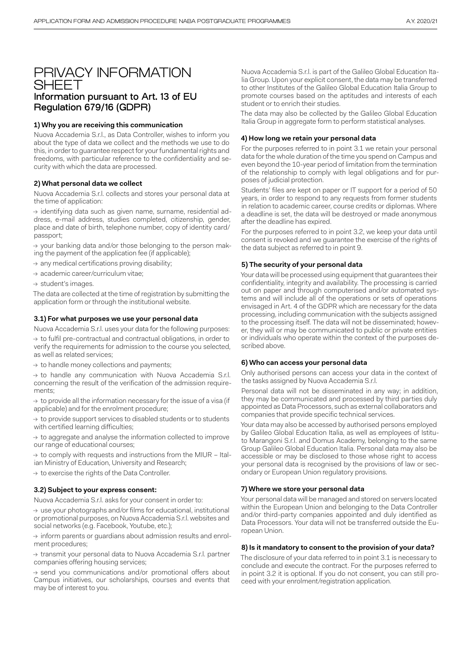### PRIVACY INFORMATION **SHEET** Information pursuant to Art. 13 of EU Regulation 679/16 (GDPR)

#### **1) Why you are receiving this communication**

Nuova Accademia S.r.l., as Data Controller, wishes to inform you about the type of data we collect and the methods we use to do this, in order to guarantee respect for your fundamental rights and freedoms, with particular reference to the confidentiality and security with which the data are processed.

#### **2) What personal data we collect**

Nuova Accademia S.r.l. collects and stores your personal data at the time of application:

→ identifying data such as given name, surname, residential address, e-mail address, studies completed, citizenship, gender, place and date of birth, telephone number, copy of identity card/ passport;

 $\rightarrow$  your banking data and/or those belonging to the person making the payment of the application fee (if applicable);

 $\rightarrow$  any medical certifications proving disability;

- → academic career/curriculum vitae;
- $\rightarrow$  student's images.

The data are collected at the time of registration by submitting the application form or through the institutional website.

#### **3.1) For what purposes we use your personal data**

Nuova Accademia S.r.l. uses your data for the following purposes:  $\rightarrow$  to fulfil pre-contractual and contractual obligations, in order to verify the requirements for admission to the course you selected, as well as related services;

 $\rightarrow$  to handle money collections and payments;

→ to handle any communication with Nuova Accademia S.r.l. concerning the result of the verification of the admission requirements;

 $\rightarrow$  to provide all the information necessary for the issue of a visa (if applicable) and for the enrolment procedure;

 $\rightarrow$  to provide support services to disabled students or to students with certified learning difficulties;

 $\rightarrow$  to aggregate and analyse the information collected to improve our range of educational courses;

 $\rightarrow$  to comply with requests and instructions from the MIUR – Italian Ministry of Education, University and Research;

 $\rightarrow$  to exercise the rights of the Data Controller.

#### **3.2) Subject to your express consent:**

Nuova Accademia S.r.l. asks for your consent in order to:

→ use your photographs and/or films for educational, institutional or promotional purposes, on Nuova Accademia S.r.l. websites and social networks (e.g. Facebook, Youtube, etc.);

 $\rightarrow$  inform parents or guardians about admission results and enrolment procedures;

→ transmit your personal data to Nuova Accademia S.r.l. partner companies offering housing services;

→ send you communications and/or promotional offers about Campus initiatives, our scholarships, courses and events that may be of interest to you.

Nuova Accademia S.r.l. is part of the Galileo Global Education Italia Group. Upon your explicit consent, the data may be transferred to other Institutes of the Galileo Global Education Italia Group to promote courses based on the aptitudes and interests of each student or to enrich their studies.

The data may also be collected by the Galileo Global Education Italia Group in aggregate form to perform statistical analyses.

#### **4) How long we retain your personal data**

For the purposes referred to in point 3.1 we retain your personal data for the whole duration of the time you spend on Campus and even beyond the 10-year period of limitation from the termination of the relationship to comply with legal obligations and for purposes of judicial protection.

Students' files are kept on paper or IT support for a period of 50 years, in order to respond to any requests from former students in relation to academic career, course credits or diplomas. Where a deadline is set, the data will be destroyed or made anonymous after the deadline has expired.

For the purposes referred to in point 3.2, we keep your data until consent is revoked and we guarantee the exercise of the rights of the data subject as referred to in point 9.

#### **5) The security of your personal data**

Your data will be processed using equipment that guarantees their confidentiality, integrity and availability. The processing is carried out on paper and through computerised and/or automated systems and will include all of the operations or sets of operations envisaged in Art. 4 of the GDPR which are necessary for the data processing, including communication with the subjects assigned to the processing itself. The data will not be disseminated; however, they will or may be communicated to public or private entities or individuals who operate within the context of the purposes described above.

#### **6) Who can access your personal data**

Only authorised persons can access your data in the context of the tasks assigned by Nuova Accademia S.r.l.

Personal data will not be disseminated in any way; in addition, they may be communicated and processed by third parties duly appointed as Data Processors, such as external collaborators and companies that provide specific technical services.

Your data may also be accessed by authorised persons employed by Galileo Global Education Italia, as well as employees of Istituto Marangoni S.r.l. and Domus Academy, belonging to the same Group Galileo Global Education Italia. Personal data may also be accessible or may be disclosed to those whose right to access your personal data is recognised by the provisions of law or secondary or European Union regulatory provisions.

#### **7) Where we store your personal data**

Your personal data will be managed and stored on servers located within the European Union and belonging to the Data Controller and/or third-party companies appointed and duly identified as Data Processors. Your data will not be transferred outside the European Union.

#### **8) Is it mandatory to consent to the provision of your data?**

The disclosure of your data referred to in point 3.1 is necessary to conclude and execute the contract. For the purposes referred to in point 3.2 it is optional. If you do not consent, you can still proceed with your enrolment/registration application.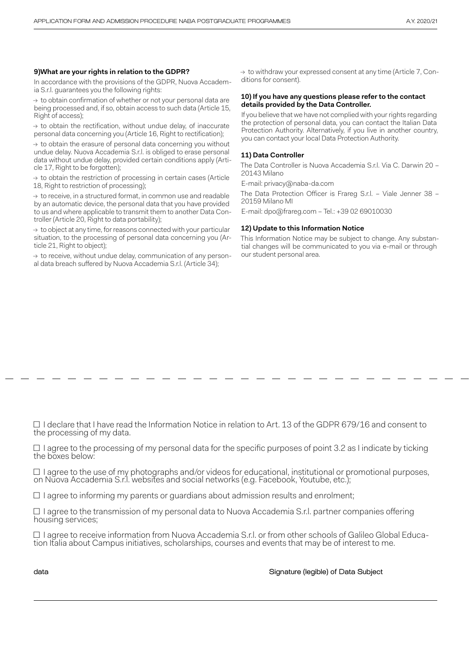#### **9)What are your rights in relation to the GDPR?**

In accordance with the provisions of the GDPR, Nuova Accademia S.r.l. guarantees you the following rights:

 $\rightarrow$  to obtain confirmation of whether or not your personal data are being processed and, if so, obtain access to such data (Article 15, Right of access);

 $\rightarrow$  to obtain the rectification, without undue delay, of inaccurate personal data concerning you (Article 16, Right to rectification);

 $\rightarrow$  to obtain the erasure of personal data concerning you without undue delay. Nuova Accademia S.r.l. is obliged to erase personal data without undue delay, provided certain conditions apply (Article 17, Right to be forgotten);

 $\rightarrow$  to obtain the restriction of processing in certain cases (Article 18, Right to restriction of processing);

 $\rightarrow$  to receive, in a structured format, in common use and readable by an automatic device, the personal data that you have provided to us and where applicable to transmit them to another Data Controller (Article 20, Right to data portability);

 $\rightarrow$  to object at any time, for reasons connected with your particular situation, to the processing of personal data concerning you (Article 21, Right to object);

 $\rightarrow$  to receive, without undue delay, communication of any personal data breach suffered by Nuova Accademia S.r.l. (Article 34);

 $\rightarrow$  to withdraw your expressed consent at any time (Article 7, Conditions for consent).

#### **10) If you have any questions please refer to the contact details provided by the Data Controller.**

If you believe that we have not complied with your rights regarding the protection of personal data, you can contact the Italian Data Protection Authority. Alternatively, if you live in another country, you can contact your local Data Protection Authority.

#### **11) Data Controller**

The Data Controller is Nuova Accademia S.r.l. Via C. Darwin 20 – 20143 Milano

E-mail: privacy@naba-da.com

The Data Protection Officer is Frareg S.r.l. – Viale Jenner 38 – 20159 Milano MI

E-mail: dpo@frareg.com – Tel.: +39 02 69010030

#### **12) Update to this Information Notice**

This Information Notice may be subject to change. Any substantial changes will be communicated to you via e-mail or through our student personal area.

□ I declare that I have read the Information Notice in relation to Art. 13 of the GDPR 679/16 and consent to the processing of my data.

 $\Box$  I agree to the processing of my personal data for the specific purposes of point 3.2 as I indicate by ticking the boxes below:

 $\Box$  I agree to the use of my photographs and/or videos for educational, institutional or promotional purposes, on Nuova Accademia S.r.l. websites and social networks (e.g. Facebook, Youtube, etc.);

 $\Box$  I agree to informing my parents or guardians about admission results and enrolment;

□ I agree to the transmission of my personal data to Nuova Accademia S.r.l. partner companies offering housing services;

 $\square$  I agree to receive information from Nuova Accademia S.r.l. or from other schools of Galileo Global Educa- tion Italia about Campus initiatives, scholarships, courses and events that may be of interest to me.

data Signature (legible) of Data Subject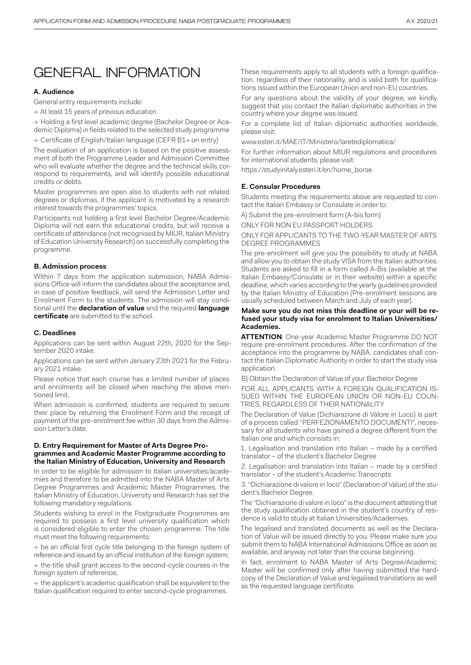# GENERAL INFORMATION

#### **A. Audience**

General entry requirements include:

 $\rightarrow$  At least 15 years of previous education

→ Holding a first level academic degree (Bachelor Degree or Academic Diploma) in fields related to the selected study programme

 $\rightarrow$  Certificate of English/Italian language (CEFR B1+ on entry)

The evaluation of an application is based on the positive assessment of both the Programme Leader and Admission Committee who will evaluate whether the degree and the technical skills correspond to requirements, and will identify possible educational credits or debts.

Master programmes are open also to students with not related degrees or diplomas, if the applicant is motivated by a research interest towards the programmes' topics.

Participants not holding a first level Bachelor Degree/Academic Diploma will not earn the educational credits, but will receive a certificate of attendance (not recognised by MIUR, Italian Ministry of Education University Research) on successfully completing the programme.

#### **B. Admission process**

Within 7 days from the application submission, NABA Admissions Office will inform the candidates about the acceptance and, in case of positive feedback, will send the Admission Letter and Enrolment Form to the students. The admission will stay conditional until the **declaration of value** and the required **language certificate** are submitted to the school.

#### **C. Deadlines**

Applications can be sent within August 22th, 2020 for the September 2020 intake.

Applications can be sent within January 23th 2021 for the February 2021 intake.

Please notice that each course has a limited number of places and enrolments will be closed when reaching the above mentioned limit.

When admission is confirmed, students are required to secure their place by returning the Enrolment Form and the receipt of payment of the pre-enrolment fee within 30 days from the Admission Letter's date.

#### **D. Entry Requirement for Master of Arts Degree Programmes and Academic Master Programme according to the Italian Ministry of Education, University and Research**

In order to be eligible for admission to Italian universities/academies and therefore to be admitted into the NABA Master of Arts Degree Programmes and Academic Master Programmes, the Italian Ministry of Education, University and Research has set the following mandatory regulations.

Students wishing to enrol in the Postgraduate Programmes are required to possess a first level university qualification which is considered eligible to enter the chosen programme. The title must meet the following requirements:

 $\rightarrow$  be an official first cycle title belonging to the foreign system of reference and issued by an official institution of the foreign system;

 $\rightarrow$  the title shall grant access to the second-cycle courses in the foreign system of reference;

 $\rightarrow$  the applicant's academic qualification shall be equivalent to the Italian qualification required to enter second-cycle programmes.

These requirements apply to all students with a foreign qualification, regardless of their nationality, and is valid both for qualifications issued within the European Union and non-EU countries.

For any questions about the validity of your degree, we kindly suggest that you contact the Italian diplomatic authorities in the country where your degree was issued.

For a complete list of Italian diplomatic authorities worldwide, please visit:

www.esteri.it/MAE/IT/Ministero/laretediplomatica/

For further information about MIUR regulations and procedures for international students, please visit:

https://studyinitaly.esteri.it/en/home\_borse

#### **E. Consular Procedures**

Students meeting the requirements above are requested to contact the Italian Embassy or Consulate in order to:

A) Submit the pre-enrolment form (A-bis form)

ONLY FOR NON EU PASSPORT HOLDERS

ONLY FOR APPLICANTS TO THE TWO-YEAR MASTER OF ARTS DEGREE PROGRAMMES

The pre-enrolment will give you the possibility to study at NABA and allow you to obtain the study VISA from the Italian authorities. Students are asked to fill in a form called A-Bis (available at the Italian Embassy/Consulate or in their website) within a specific deadline, which varies according to the yearly guidelines provided by the Italian Ministry of Education (Pre-enrolment sessions are usually scheduled between March and July of each year).

#### **Make sure you do not miss this deadline or your will be refused your study visa for enrolment to Italian Universities/ Academies.**

**ATTENTION**: One-year Academic Master Programme DO NOT require pre-enrolment procedures. After the confirmation of the acceptance into the programme by NABA, candidates shall contact the Italian Diplomatic Authority in order to start the study visa application.

B) Obtain the Declaration of Value of your Bachelor Degree

FOR ALL APPLICANTS WITH A FORFIGN OUALIFICATION IS-SUED WITHIN THE EUROPEAN UNION OR NON-EU COUN-TRIES, REGARDLESS OF THEIR NATIONALITY

The Declaration of Value (Dichiarazione di Valore in Loco) is part of a process called "PERFEZIONAMENTO DOCUMENTI", necessary for all students who have gained a degree different from the Italian one and which consists in:

1. Legalisation and translation into Italian – made by a certified translator – of the student's Bachelor Degree

2. Legalisation and translation into Italian – made by a certified translator – of the student's Academic Transcripts

3. "Dichiarazione di valore in loco" (Declaration of Value) of the student's Bachelor Degree.

The "Dichiarazione di valore in loco" is the document attesting that the study qualification obtained in the student's country of residence is valid to study at Italian Universities/Academies.

The legalised and translated documents as well as the Declaration of Value will be issued directly to you. Please make sure you submit them to NABA International Admissions Office as soon as available, and anyway not later than the course beginning.

In fact, enrolment to NABA Master of Arts Degree/Academic Master will be confirmed only after having submitted the hardcopy of the Declaration of Value and legalised translations as well as the requested language certificate.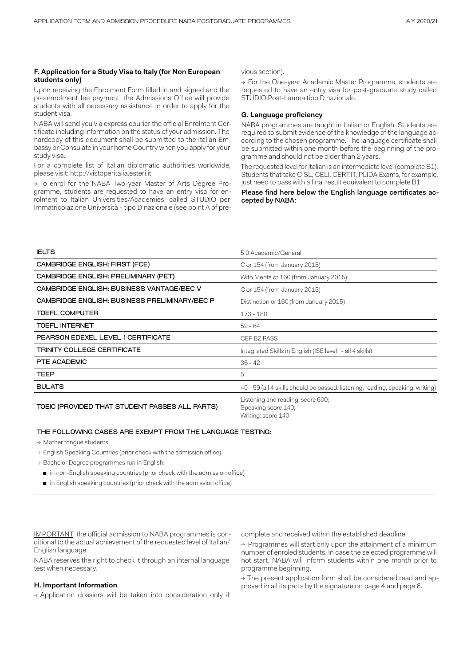#### **F. Application for a Study Visa to Italy (for Non European students only)**

Upon receiving the Enrolment Form filled in and signed and the pre-enrolment fee payment, the Admissions Office will provide students with all necessary assistance in order to apply for the student visa.

NABA will send you via express courier the official Enrolment Certificate including information on the status of your admission. The hardcopy of this document shall be submitted to the Italian Embassy or Consulate in your home Country when you apply for your study visa.

For a complete list of Italian diplomatic authorities worldwide, please visit: http://vistoperitalia.esteri.it

→ To enrol for the NABA Two-year Master of Arts Degree Programme, students are requested to have an entry visa for enrolment to Italian Universities/Academies, called STUDIO per Immatricolazione Università - tipo D nazionale (see point A of previous section).

→ For the One-year Academic Master Programme, students are requested to have an entry visa for post-graduate study called STUDIO Post-Laurea tipo D nazionale.

#### **G. Language proficiency**

NABA programmes are taught in Italian or English. Students are required to submit evidence of the knowledge of the language according to the chosen programme. The language certificate shall be submitted within one month before the beginning of the programme and should not be older than 2 years.

The requested level for Italian is an intermediate level (complete B1). Students that take CISL, CELI, CERT.IT, PLIDA Exams, for example, just need to pass with a final result equivalent to complete B1.

#### Please find here below the English language certificates accepted by NABA:

| <b>IELTS</b>                                   | 5.0 Academic/General                                                           |
|------------------------------------------------|--------------------------------------------------------------------------------|
| CAMBRIDGE ENGLISH: FIRST (FCE)                 | C or 154 (from January 2015)                                                   |
| CAMBRIDGE ENGLISH: PRELIMINARY (PET)           | With Merits or 160 (from January 2015)                                         |
| CAMBRIDGE ENGLISH: BUSINESS VANTAGE/BEC V      | C or 154 (from January 2015)                                                   |
| CAMBRIDGE ENGLISH: BUSINESS PRELIMINARY/BEC P  | Distinction or 160 (from January 2015)                                         |
| <b>TOEFL COMPUTER</b>                          | 173 - 180                                                                      |
| <b>TOEFL INTERNET</b>                          | $59 - 64$                                                                      |
| PEARSON EDEXEL LEVEL 1 CERTIFICATE             | CEF B2 PASS                                                                    |
| TRINITY COLLEGE CERTIFICATE                    | Integrated Skills in English (ISE level I - all 4 skills)                      |
| PTE ACADEMIC                                   | $36 - 42$                                                                      |
| <b>TEEP</b>                                    | 5                                                                              |
| <b>BULATS</b>                                  | 40 - 59 (all 4 skills should be passed: listening, reading, speaking, writing) |
| TOEIC (PROVIDED THAT STUDENT PASSES ALL PARTS) | Listening and reading: score 600;<br>Speaking score 140;<br>Writing: score 140 |

#### THE FOLLOWING CASES ARE EXEMPT FROM THE LANGUAGE TESTING:

- $\rightarrow$  Mother tongue students
- → English Speaking Countries (prior check with the admission office)
- → Bachelor Degree programmes run in English:
	- in non-English speaking countries (prior check with the admission office)
	- in English speaking countries (prior check with the admission office)

IMPORTANT: the official admission to NABA programmes is conditional to the actual achievement of the requested level of Italian/ English language.

NABA reserves the right to check it through an internal language test when necessary.

#### **H. Important Information**

 $\rightarrow$  Application dossiers will be taken into consideration only if

complete and received within the established deadline.

 $\rightarrow$  Programmes will start only upon the attainment of a minimum number of enroled students. In case the selected programme will not start, NABA will inform students within one month prior to programme beginning.

 $\rightarrow$  The present application form shall be considered read and approved in all its parts by the signature on page 4 and page 6.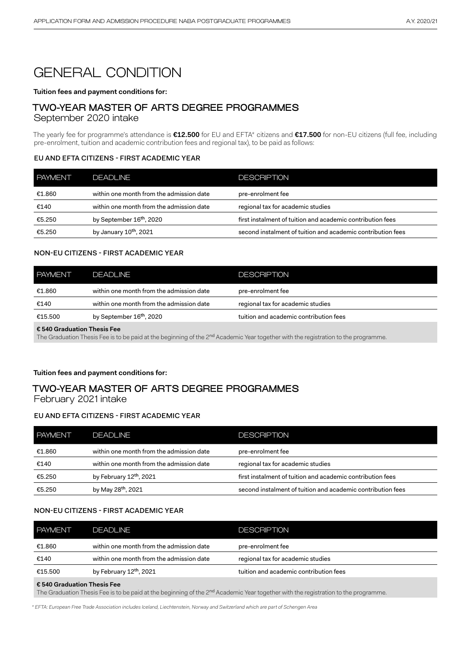# GENERAL CONDITION

#### **Tuition fees and payment conditions for:**

## TWO-YEAR MASTER OF ARTS DEGREE PROGRAMMES

September 2020 intake

The yearly fee for programme's attendance is **€12.500** for EU and EFTA\* citizens and **€17.500** for non-EU citizens (full fee, including pre-enrolment, tuition and academic contribution fees and regional tax), to be paid as follows:

### EU AND EFTA CITIZENS - FIRST ACADEMIC YEAR

| <b>PAYMENT</b> | DEADI INE                                | <b>DESCRIPTION</b>                                          |
|----------------|------------------------------------------|-------------------------------------------------------------|
| €1.860         | within one month from the admission date | pre-enrolment fee                                           |
| €140           | within one month from the admission date | regional tax for academic studies                           |
| €5.250         | by September 16 <sup>th</sup> , 2020     | first instalment of tuition and academic contribution fees  |
| €5.250         | by January 10 <sup>th</sup> , 2021       | second instalment of tuition and academic contribution fees |

#### NON-EU CITIZENS - FIRST ACADEMIC YEAR

| I PAYMENT <sup>1</sup> | DFADI INF                                | DESCRIPTION                            |
|------------------------|------------------------------------------|----------------------------------------|
| €1.860                 | within one month from the admission date | pre-enrolment fee                      |
| €140                   | within one month from the admission date | regional tax for academic studies      |
| €15.500                | by September 16 <sup>th</sup> , 2020     | tuition and academic contribution fees |

**€ 540 Graduation Thesis Fee**

The Graduation Thesis Fee is to be paid at the beginning of the 2<sup>nd</sup> Academic Year together with the registration to the programme.

### **Tuition fees and payment conditions for:**

### TWO-YEAR MASTER OF ARTS DEGREE PROGRAMMES February 2021 intake

# EU AND EFTA CITIZENS - FIRST ACADEMIC YEAR

| <b>PAYMENT</b> | <b>DEADLINE</b>                          | <b>DESCRIPTION</b>                                          |
|----------------|------------------------------------------|-------------------------------------------------------------|
| €1.860         | within one month from the admission date | pre-enrolment fee                                           |
| €140           | within one month from the admission date | regional tax for academic studies                           |
| €5.250         | by February 12 <sup>th</sup> , 2021      | first instalment of tuition and academic contribution fees  |
| €5.250         | by May 28 <sup>th</sup> , 2021           | second instalment of tuition and academic contribution fees |

#### NON-EU CITIZENS - FIRST ACADEMIC YEAR

| I PAYMENT                            | <b>DEADLINE</b>                          | <b>DESCRIPTION</b>                     |
|--------------------------------------|------------------------------------------|----------------------------------------|
| €1.860                               | within one month from the admission date | pre-enrolment fee                      |
| €140                                 | within one month from the admission date | regional tax for academic studies      |
| €15.500                              | by February 12 <sup>th</sup> , 2021      | tuition and academic contribution fees |
| $\epsilon$ 540 Graduation Thesis Fee |                                          |                                        |

The Graduation Thesis Fee is to be paid at the beginning of the 2<sup>nd</sup> Academic Year together with the registration to the programme.

*\* EFTA: European Free Trade Association includes Iceland, Liechtenstein, Norway and Switzerland which are part of Schengen Area*